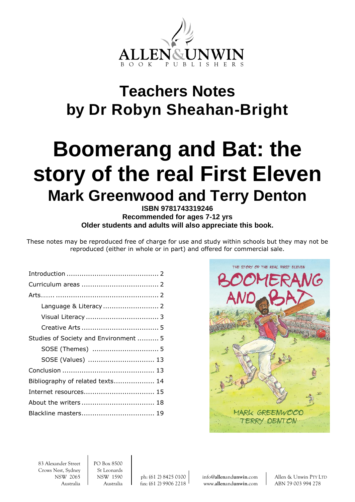

## **Teachers Notes by Dr Robyn Sheahan-Bright**

# **Boomerang and Bat: the story of the real First Eleven Mark Greenwood and Terry Denton**

## **ISBN 9781743319246 Recommended for ages 7-12 yrs Older students and adults will also appreciate this book.**

These notes may be reproduced free of charge for use and study within schools but they may not be reproduced (either in whole or in part) and offered for commercial sale.

| Studies of Society and Environment  5 |  |
|---------------------------------------|--|
|                                       |  |
| SOSE (Values)  13                     |  |
|                                       |  |
| Bibliography of related texts 14      |  |
| Internet resources 15                 |  |
|                                       |  |
|                                       |  |



83 Alexander Street PO Box 8500 Crows Nest, Sydney | St Leonards

NSW 2065 NSW 1590 ph: (61 2) 8425 0100 info@**allen**and**[unwin](mailto:info@allenandunwin.com)**.com Allen & Unwin PTY LTD Australia Australia fax: (61 2) 9906 2218 www.**allen**and**[unwin](http://www.allenandunwin.com/)**.com ABN 79 003 994 278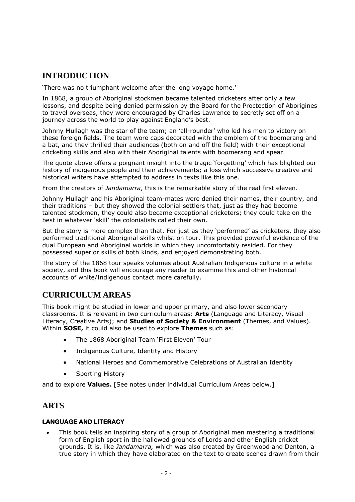## **INTRODUCTION**

'There was no triumphant welcome after the long voyage home.'

In 1868, a group of Aboriginal stockmen became talented cricketers after only a few lessons, and despite being denied permission by the Board for the Proctection of Aborigines to travel overseas, they were encouraged by Charles Lawrence to secretly set off on a journey across the world to play against England's best.

Johnny Mullagh was the star of the team; an 'all-rounder' who led his men to victory on these foreign fields. The team wore caps decorated with the emblem of the boomerang and a bat, and they thrilled their audiences (both on and off the field) with their exceptional cricketing skills and also with their Aboriginal talents with boomerang and spear.

The quote above offers a poignant insight into the tragic 'forgetting' which has blighted our history of indigenous people and their achievements; a loss which successive creative and historical writers have attempted to address in texts like this one.

From the creators of *Jandamarra*, this is the remarkable story of the real first eleven.

Johnny Mullagh and his Aboriginal team-mates were denied their names, their country, and their traditions – but they showed the colonial settlers that, just as they had become talented stockmen, they could also became exceptional cricketers; they could take on the best in whatever 'skill' the colonialists called their own.

But the story is more complex than that. For just as they 'performed' as cricketers, they also performed traditional Aboriginal skills whilst on tour. This provided powerful evidence of the dual European and Aboriginal worlds in which they uncomfortably resided. For they possessed superior skills of both kinds, and enjoyed demonstrating both.

The story of the 1868 tour speaks volumes about Australian Indigenous culture in a white society, and this book will encourage any reader to examine this and other historical accounts of white/Indigenous contact more carefully.

## **CURRICULUM AREAS**

This book might be studied in lower and upper primary, and also lower secondary classrooms. It is relevant in two curriculum areas: **Arts** (Language and Literacy, Visual Literacy, Creative Arts); and **Studies of Society & Environment** (Themes, and Values). Within **SOSE,** it could also be used to explore **Themes** such as:

- The 1868 Aboriginal Team 'First Eleven' Tour
- Indigenous Culture, Identity and History
- National Heroes and Commemorative Celebrations of Australian Identity
- Sporting History

and to explore **Values.** [See notes under individual Curriculum Areas below.]

## **ARTS**

## **LANGUAGE AND LITERACY**

 This book tells an inspiring story of a group of Aboriginal men mastering a traditional form of English sport in the hallowed grounds of Lords and other English cricket grounds. It is, like *Jandamarra,* which was also created by Greenwood and Denton, a true story in which they have elaborated on the text to create scenes drawn from their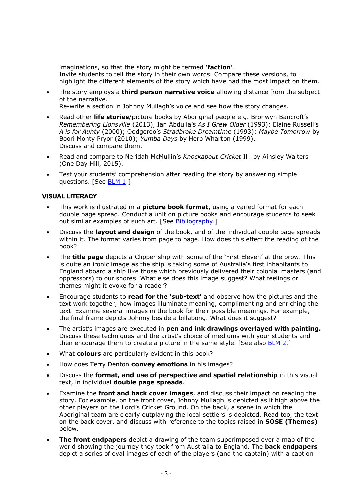imaginations, so that the story might be termed **'faction'**. Invite students to tell the story in their own words. Compare these versions, to highlight the different elements of the story which have had the most impact on them.

 The story employs a **third person narrative voice** allowing distance from the subject of the narrative.

Re-write a section in Johnny Mullagh's voice and see how the story changes.

- Read other **life stories**/picture books by Aboriginal people e.g. Bronwyn Bancroft's *Remembering Lionsville* (2013), Ian Abdulla's *As I Grew Older* (1993); Elaine Russell's *A is for Aunty* (2000); Oodgeroo's *Stradbroke Dreamtime* (1993); *Maybe Tomorrow* by Boori Monty Pryor (2010); *Yumba Days* by Herb Wharton (1999). Discuss and compare them.
- Read and compare to Neridah McMullin's *Knockabout Cricket* Ill. by Ainsley Walters (One Day Hill, 2015).
- Test your students' comprehension after reading the story by answering simple questions. [See [BLM](#page-18-0) 1.]

## **VISUAL LITERACY**

- This work is illustrated in a **picture book format**, using a varied format for each double page spread. Conduct a unit on picture books and encourage students to seek out similar examples of such art. [See **Bibliography**.]
- Discuss the **layout and design** of the book, and of the individual double page spreads within it. The format varies from page to page. How does this effect the reading of the book?
- The **title page** depicts a Clipper ship with some of the 'First Eleven' at the prow. This is quite an ironic image as the ship is taking some of Australia's first inhabitants to England aboard a ship like those which previously delivered their colonial masters (and oppressors) to our shores. What else does this image suggest? What feelings or themes might it evoke for a reader?
- Encourage students to **read for the 'sub-text'** and observe how the pictures and the text work together; how images illuminate meaning, complimenting and enriching the text. Examine several images in the book for their possible meanings. For example, the final frame depicts Johnny beside a billabong. What does it suggest?
- The artist's images are executed in **pen and ink drawings overlayed with painting.** Discuss these techniques and the artist's choice of mediums with your students and then encourage them to create a picture in the same style. [See also [BLM 2.](#page-20-0)]
- What **colours** are particularly evident in this book?
- How does Terry Denton **convey emotions** in his images?
- Discuss the **format, and use of perspective and spatial relationship** in this visual text, in individual **double page spreads**.
- Examine the **front and back cover images**, and discuss their impact on reading the story. For example, on the front cover, Johnny Mullagh is depicted as if high above the other players on the Lord's Cricket Ground. On the back, a scene in which the Aboriginal team are clearly outplaying the local settlers is depicted. Read too, the text on the back cover, and discuss with reference to the topics raised in **SOSE (Themes)** below.
- **The front endpapers** depict a drawing of the team superimposed over a map of the world showing the journey they took from Australia to England. The **back endpapers** depict a series of oval images of each of the players (and the captain) with a caption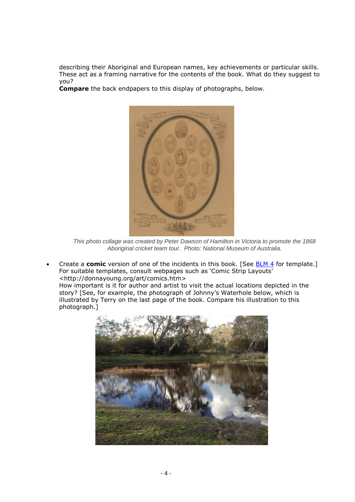describing their Aboriginal and European names, key achievements or particular skills. These act as a framing narrative for the contents of the book. What do they suggest to you?

**Compare** the back endpapers to this display of photographs, below.



*This photo collage was created by Peter Dawson of Hamilton in Victoria to promote the 1868 Aboriginal cricket team tour. Photo: National Museum of Australia.*

 Create a **comic** version of one of the incidents in this book. [See [BLM 4](#page-22-0) for template.] For suitable templates, consult webpages such as 'Comic Strip Layouts' [<http://donnayoung.org/art/comics.htm>](http://donnayoung.org/art/comics.htm)

How important is it for author and artist to visit the actual locations depicted in the story? [See, for example, the photograph of Johnny's Waterhole below, which is illustrated by Terry on the last page of the book. Compare his illustration to this photograph.]

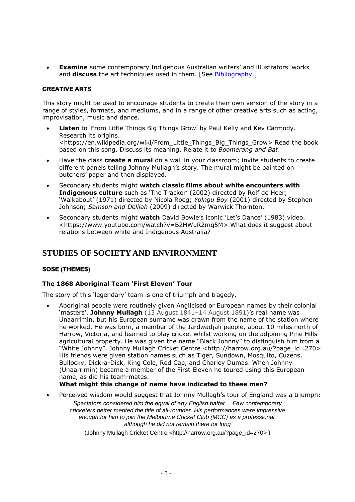**Examine** some contemporary Indigenous Australian writers' and illustrators' works and **discuss** the art techniques used in them. [See [Bibliography.](#page-13-0)]

#### **CREATIVE ARTS**

This story might be used to encourage students to create their own version of the story in a range of styles, formats, and mediums, and in a range of other creative arts such as acting, improvisation, music and dance.

- **Listen** to 'From Little Things Big Things Grow' by Paul Kelly and Kev Carmody. Research its origins. [<https://en.wikipedia.org/wiki/From\\_Little\\_Things\\_Big\\_Things\\_Grow>](https://en.wikipedia.org/wiki/From_Little_Things_Big_Things_Grow) Read the book based on this song. Discuss its meaning. Relate it to *Boomerang and Bat*.
- Have the class **create a mural** on a wall in your classroom; invite students to create different panels telling Johnny Mullagh's story. The mural might be painted on butchers' paper and then displayed.
- Secondary students might **watch classic films about white encounters with Indigenous culture** such as 'The Tracker' (2002) directed by Rolf de Heer; 'Walkabout' (1971) directed by Nicola Roeg; *Yolngu Boy* (2001) directed by Stephen Johnson; *Samson and Delilah* (2009) directed by Warwick Thornton.
- Secondary students might **watch** David Bowie's iconic 'Let's Dance' (1983) video. [<https://www.youtube.com/watch?v=B2HWuR2mq5M>](https://www.youtube.com/watch?v=B2HWuR2mq5M) What does it suggest about relations between white and Indigenous Australia?

## **STUDIES OF SOCIETY AND ENVIRONMENT**

## **SOSE (THEMES)**

## **The 1868 Aboriginal Team 'First Eleven' Tour**

The story of this 'legendary' team is one of triumph and tragedy.

 Aboriginal people were routinely given Anglicised or European names by their colonial 'masters'. **Johnny Mullagh** (13 August 1841–14 August 1891)'s real name was Unaarrimin, but his European surname was drawn from the name of the station where he worked. He was born, a member of the Jardwadjali people, about 10 miles north of Harrow, Victoria, and learned to play cricket whilst working on the adjoining Pine Hills agricultural property. He was given the name "Black Johnny" to distinguish him from a "White Johnny". Johnny Mullagh Cricket Centre <[http://harrow.org.au/?page\\_id=270>](http://harrow.org.au/?page_id=270) His friends were given station names such as Tiger, Sundown, Mosquito, Cuzens, Bullocky, Dick-a-Dick, King Cole, Red Cap, and Charley Dumas. When Johnny (Unaarrimin) became a member of the First Eleven he toured using this European name, as did his team-mates.

## **What might this change of name have indicated to these men?**

Perceived wisdom would suggest that Johnny Mullagh's tour of England was a triumph:

*Spectators considered him the equal of any English batter… Few contemporary cricketers better merited the title of all-rounder. His performances were impressive enough for him to join the Melbourne Cricket Club (MCC) as a professional, although he did not remain there for long*

(Johnny Mullagh Cricket Centre *<*[http://harrow.org.au/?page\\_id=270](http://harrow.org.au/?page_id=270)*>* )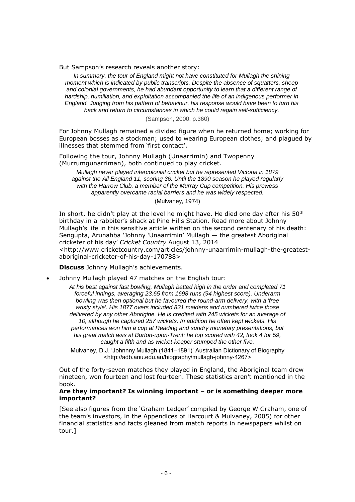But Sampson's research reveals another story:

*In summary, the tour of England might not have constituted for Mullagh the shining moment which is indicated by public transcripts. Despite the absence of squatters, sheep and colonial governments, he had abundant opportunity to learn that a different range of hardship, humiliation, and exploitation accompanied the life of an indigenous performer in England. Judging from his pattern of behaviour, his response would have been to turn his back and return to circumstances in which he could regain self-sufficiency.*

(Sampson, 2000, p.360)

For Johnny Mullagh remained a divided figure when he returned home; working for European bosses as a stockman; used to wearing European clothes; and plagued by illnesses that stemmed from 'first contact'.

Following the tour, Johnny Mullagh (Unaarrimin) and Twopenny (Murrumgunarriman), both continued to play cricket.

*Mullagh never played intercolonial cricket but he represented Victoria in 1879 against the All England 11, scoring 36. Until the 1890 season he played regularly with the Harrow Club, a member of the Murray Cup competition. His prowess apparently overcame racial barriers and he was widely respected.*

(Mulvaney, 1974)

In short, he didn't play at the level he might have. He died one day after his  $50<sup>th</sup>$ birthday in a rabbiter's shack at Pine Hills Station. Read more about Johnny Mullagh's life in this sensitive article written on the second centenary of his death: Sengupta, Arunahba 'Johnny 'Unaarrimin' Mullagh — the greatest Aboriginal cricketer of his day' *Cricket Country* August 13, 2014 <http://www.cricketcountry.com/articles/johnny-unaarrimin-mullagh-the-greatestaboriginal-cricketer-of-his-day-170788>

**Discuss** Johnny Mullagh's achievements.

Johnny Mullagh played 47 matches on the English tour:

*At his best against fast bowling, Mullagh batted high in the order and completed 71 forceful innings, averaging 23.65 from 1698 runs (94 highest score). Underarm bowling was then optional but he favoured the round-arm delivery, with a 'free wristy style'. His 1877 overs included 831 maidens and numbered twice those delivered by any other Aborigine. He is credited with 245 wickets for an average of 10, although he captured 257 wickets. In addition he often kept wickets. His performances won him a cup at Reading and sundry monetary presentations, but his great match was at Burton-upon-Trent: he top scored with 42, took 4 for 59, caught a fifth and as wicket-keeper stumped the other five.*

Mulvaney, D.J. 'Johnnny Mullagh (1841–1891)' Australian Dictionary of Biography [<http://adb.anu.edu.au/biography/mullagh-johnny-4267>](http://adb.anu.edu.au/biography/mullagh-johnny-4267)

Out of the forty-seven matches they played in England, the Aboriginal team drew nineteen, won fourteen and lost fourteen. These statistics aren't mentioned in the book.

#### **Are they important? Is winning important – or is something deeper more important?**

[See also figures from the 'Graham Ledger' compiled by George W Graham, one of the team's investors, in the Appendices of Harcourt & Mulvaney, 2005) for other financial statistics and facts gleaned from match reports in newspapers whilst on tour.]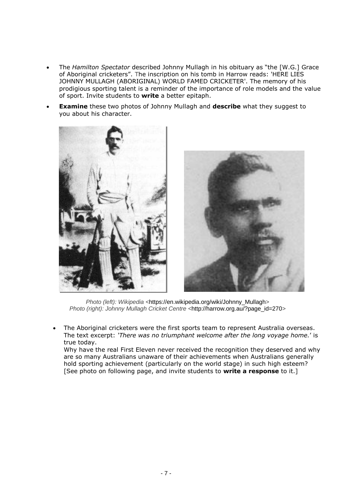- The *Hamilton Spectator* described Johnny Mullagh in his obituary as "the [W.G.] Grace of Aboriginal cricketers". The inscription on his tomb in Harrow reads: 'HERE LIES JOHNNY MULLAGH (ABORIGINAL) WORLD FAMED CRICKETER'. The memory of his prodigious sporting talent is a reminder of the importance of role models and the value of sport. Invite students to **write** a better epitaph.
- **Examine** these two photos of Johnny Mullagh and **describe** what they suggest to you about his character.





*Photo (left): Wikipedia <*[https://en.wikipedia.org/wiki/Johnny\\_Mullagh](https://en.wikipedia.org/wiki/Johnny_Mullagh)*> Photo (right): Johnny Mullagh Cricket Centre <*[http://harrow.org.au/?page\\_id=270](http://harrow.org.au/?page_id=270)*>*

 The Aboriginal cricketers were the first sports team to represent Australia overseas. The text excerpt: *'There was no triumphant welcome after the long voyage [home.](http://home.)*' is true today.

Why have the real First Eleven never received the recognition they deserved and why are so many Australians unaware of their achievements when Australians generally hold sporting achievement (particularly on the world stage) in such high esteem? [See photo on following page, and invite students to **write a response** to it.]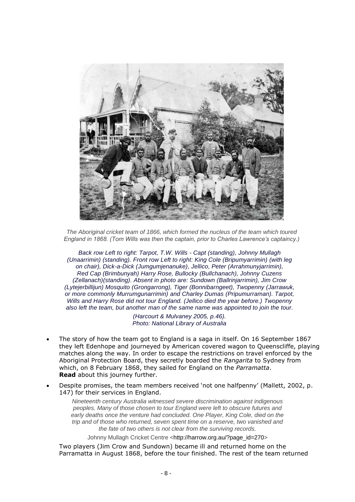

*The Aboriginal cricket team of 1866, which formed the nucleus of the team which toured England in 1868. (Tom Wills was then the captain, prior to Charles Lawrence's captaincy.)*

*Back row Left to right: Tarpot, T.W. Wills - Capt (standing), Johnny Mullagh (Unaarrimin) (standing). Front row Left to right: King Cole (Bripumyarrimin) (with leg on chair), Dick-a-Dick (Jumgumjenanuke), Jellico, Peter (Arrahmunyjarrimin), Red Cap (Brimbunyah) Harry Rose, Bullocky (Bullchanach), Johnny Cuzens (Zellanach)(standing). Absent in photo are: Sundown (Ballrinjarrimin), Jim Crow (Lytejerbillijun) Mosquito (Grongarrong), Tiger (Bonnibarngeet), Twopenny (Jarrawuk, or more commonly Murrumgunarrimin) and Charley Dumas (Pripumurraman). Tarpot, Wills and Harry Rose did not tour England. (Jellico died the year before.) Twopenny also left the team, but another man of the same name was appointed to join the tour.*

> *(Harcourt & Mulvaney 2005, p.46). Photo: National Library of Australia*

- The story of how the team got to England is a saga in itself. On 16 September 1867 they left Edenhope and journeyed by American covered wagon to Queenscliffe, playing matches along the way. In order to escape the restrictions on travel enforced by the Aboriginal Protection Board, they secretly boarded the *Rangarita* to Sydney from which, on 8 February 1868, they sailed for England on the *Parramatta*. **Read** about this journey further.
- Despite promises, the team members received 'not one halfpenny' (Mallett, 2002, p. 147) for their services in England.

*Nineteenth century Australia witnessed severe discrimination against indigenous peoples. Many of those chosen to tour England were left to obscure futures and early deaths once the venture had concluded. One Player, King Cole, died on the trip and of those who returned, seven spent time on a reserve, two vanished and the fate of two others is not clear from the surviving records.*

Johnny Mullagh Cricket Centre [<http://harrow.org.au/?page\\_id=270>](http://harrow.org.au/?page_id=270)

Two players (Jim Crow and Sundown) became ill and returned home on the Parramatta in August 1868, before the tour finished. The rest of the team returned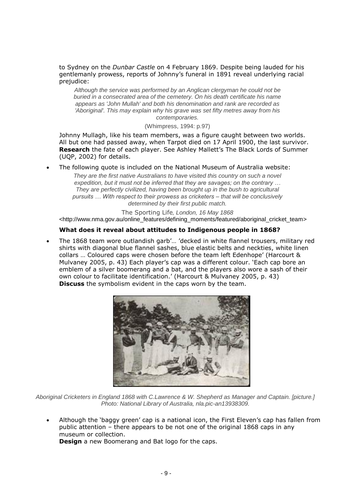to Sydney on the *Dunbar Castle* on 4 February 1869. Despite being lauded for his gentlemanly prowess, reports of Johnny's funeral in 1891 reveal underlying racial prejudice:

*Although the service was performed by an Anglican clergyman he could not be buried in a consecrated area of the cemetery. On his death certificate his name appears as 'John Mullah' and both his denomination and rank are recorded as 'Aboriginal'. This may explain why his grave was set fifty metres away from his contemporaries.*

(Whimpress, 1994: p.97)

Johnny Mullagh, like his team members, was a figure caught between two worlds. All but one had passed away, when Tarpot died on 17 April 1900, the last survivor. **Research** the fate of each player. See Ashley Mallett's The Black Lords of Summer (UQP, 2002) for details.

The following quote is included on the National Museum of Australia website:

*They are the first native Australians to have visited this country on such a novel expedition, but it must not be inferred that they are savages; on the contrary … They are perfectly civilized, having been brought up in the bush to agricultural pursuits … With respect to their prowess as cricketers – that will be conclusively determined by their first public match.* 

The Sporting Life*, London, 16 May 1868*  [<http://www.nma.gov.au/online\\_features/defining\\_moments/featured/aboriginal\\_cricket\\_team>](http://www.nma.gov.au/online_features/defining_moments/featured/aboriginal_cricket_team)

## **What does it reveal about attitudes to Indigenous people in 1868?**

 The 1868 team wore outlandish garb'… 'decked in white flannel trousers, military red shirts with diagonal blue flannel sashes, blue elastic belts and neckties, white linen collars … Coloured caps were chosen before the team left Edenhope' (Harcourt & Mulvaney 2005, p. 43) Each player's cap was a different colour. 'Each cap bore an emblem of a silver boomerang and a bat, and the players also wore a sash of their own colour to facilitate identification.' (Harcourt & Mulvaney 2005, p. 43) **Discuss** the symbolism evident in the caps worn by the team.



*Aboriginal Cricketers in England 1868 with C.Lawrence & W. Shepherd as Manager and Captain. [picture.] Photo: National Library of Australia, nla.pic-an13938309.*

 Although the 'baggy green' cap is a national icon, the First Eleven's cap has fallen from public attention – there appears to be not one of the original 1868 caps in any museum or collection. **Design** a new Boomerang and Bat logo for the caps.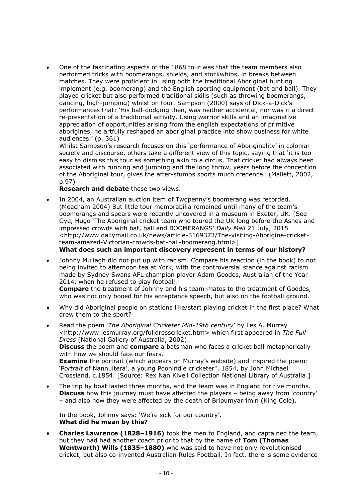One of the fascinating aspects of the 1868 tour was that the team members also performed tricks with boomerangs, shields, and stockwhips, in breaks between matches. They were proficient in using both the traditional Aboriginal hunting implement (e.g. boomerang) and the English sporting equipment (bat and ball). They played cricket but also performed traditional skills (such as throwing boomerangs, dancing, high-jumping) whilst on tour. Sampson (2000) says of Dick-a-Dick's performances that: 'His ball-dodging then, was neither accidental, nor was it a direct re-presentation of a traditional activity. Using warrior skills and an imaginative appreciation of opportunities arising from the english expectations of primitive aborigines, he artfully reshaped an aboriginal practice into show business for white audiences.' (p. 361)

Whilst Sampson's research focuses on this 'performance of Aboriginality' in colonial society and discourse, others take a different view of this topic, saying that 'it is too easy to dismiss this tour as something akin to a circus. That cricket had always been associated with running and jumping and the long throw, years before the conception of the Aboriginal tour, gives the after-stumps sports much credence.' (Mallett, 2002, p.97)

#### **Research and debate** these two views.

 In 2004, an Australian auction item of Twopenny's boomerang was recorded. (Meacham 2004) But little tour memorabilia remained until many of the team's boomerangs and spears were recently uncovered in a museum in Exeter, UK. [See Gye, Hugo 'The Aboriginal cricket team who toured the UK long before the Ashes and impressed crowds with bat, ball and BOOMERANGS' *Daily Mail* 21 July, 2015 [<http://www.dailymail.co.uk/news/article-3169373/The-visiting-Aborigine-cricket](http://www.dailymail.co.uk/news/article-3169373/The-visiting-Aborigine-cricket-team-amazed-Victorian-crowds-bat-ball-boomerang.html)[team-amazed-Victorian-crowds-bat-ball-boomerang.html>](http://www.dailymail.co.uk/news/article-3169373/The-visiting-Aborigine-cricket-team-amazed-Victorian-crowds-bat-ball-boomerang.html)]

**What does such an important discovery represent in terms of our history?**

 Johnny Mullagh did not put up with racism. Compare his reaction (in the book) to not being invited to afternoon tea at York, with the controversial stance against racism made by Sydney Swans AFL champion player Adam Goodes, Australian of the Year 2014, when he refused to play football.

**Compare** the treatment of Johnny and his team-mates to the treatment of Goodes, who was not only booed for his acceptance speech, but also on the football ground.

- Why did Aboriginal people on stations like/start playing cricket in the first place? What drew them to the sport?
- Read the poem '*The Aboriginal Cricketer Mid-19th century*' by Les A. Murray <http://www.lesmurray.org/fulldresscricket.htm> which first appeared in *The Full Dress* (National Gallery of Australia, 2002). **Discuss** the poem and **compare** a batsman who faces a cricket ball metaphorically with how we should face our fears. **Examine** the portrait (which appears on Murray's website) and inspired the poem: 'P*ortrait* of Nannultera', a young Poonindie cricketer", 1854, by John Michael Crossland, c.1854. [Source: Rex Nan Kivell Collection National Library of Australia.]
- The trip by boat lasted three months, and the team was in England for five months. **Discuss** how this journey must have affected the players – being away from 'country' – and also how they were affected by the death of Bripumyarrimin (King Cole).

In the book, Johnny says: 'We're sick for our country'. **What did he mean by this?**

 **Charles Lawrence (1828–1916)** took the men to England, and captained the team, but they had had another coach prior to that by the name of **Tom (Thomas Wentworth) Wills (1835–1880)** who was said to have not only revolutionised cricket, but also co-invented Australian Rules Football. In fact, there is some evidence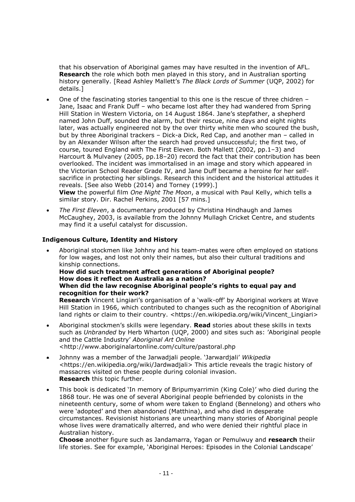that his observation of Aboriginal games may have resulted in the invention of AFL. **Research** the role which both men played in this story, and in Australian sporting history generally. [Read Ashley Mallett's *The Black Lords of Summer* (UQP, 2002) for details.]

 One of the fascinating stories tangential to this one is the rescue of three chidren – Jane, Isaac and Frank Duff – who became lost after they had wandered from Spring Hill Station in Western Victoria, on 14 August 1864. Jane's stepfather, a shepherd named John Duff, sounded the alarm, but their rescue, nine days and eight nights later, was actually engineered not by the over thirty white men who scoured the bush, but by three Aboriginal trackers – Dick-a Dick, Red Cap, and another man – called in by an Alexander Wilson after the search had proved unsuccessful; the first two, of course, toured England with The First Eleven. Both Mallett (2002, pp.1–3) and Harcourt & Mulvaney (2005, pp.18–20) record the fact that their contribution has been overlooked. The incident was immortalised in an image and story which appeared in the Victorian School Reader Grade IV, and Jane Duff became a heroine for her selfsacrifice in protecting her siblings. Research this incident and the historical attitudes it reveals. [See also Webb (2014) and Torney (1999).]

**View** the powerful film *One Night The Moon*, a musical with Paul Kelly, which tells a similar story. Dir. Rachel Perkins, 2001 [57 mins.]

 *The First Eleven*, a documentary produced by Christina Hindhaugh and James McCaughey, 2003, is available from the Johnny Mullagh Cricket Centre, and students may find it a useful catalyst for discussion.

## **Indigenous Culture, Identity and History**

 Aboriginal stockmen like Johhny and his team-mates were often employed on stations for low wages, and lost not only their names, but also their cultural traditions and kinship connections.

#### **How did such treatment affect generations of Aboriginal people? How does it reflect on Australia as a nation? When did the law recognise Aboriginal people's rights to equal pay and**

**recognition for their work? Research** Vincent Lingiari's organisation of a 'walk-off' by Aboriginal workers at Wave Hill Station in 1966, which contributed to changes such as the recognition of Aboriginal land rights or claim to their country. <https://en.wikipedia.org/wiki/Vincent\_Lingiari>

- Aboriginal stockmen's skills were legendary. **Read** stories about these skills in texts such as *Unbranded* by Herb Wharton (UQP, 2000) and sites such as: 'Aboriginal people and the Cattle Industry' *Aboriginal Art Online* <http://www.aboriginalartonline.com/culture/pastoral.php
- Johnny was a member of the Jarwadjali people. 'Jarwardjali' *Wikipedia <*[https://en.wikipedia.org/wiki/Jardwadjali> This](https://en.wikipedia.org/wiki/Jardwadjali%3e%20This) article reveals the tragic history of massacres visited on these people during colonial invasion. **Research** this topic further.
- This book is dedicated 'In memory of Bripumyarrimin (King Cole)' who died during the 1868 tour. He was one of several Aboriginal people befriended by colonists in the nineteenth century, some of whom were taken to England (Bennelong) and others who were 'adopted' and then abandoned (Matthina), and who died in desperate circumstances. Revisionist historians are unearthing many stories of Aboriginal people whose lives were dramatically alterred, and who were denied their rightful place in Australian history.

**Choose** another figure such as Jandamarra, Yagan or Pemulwuy and **research** theiir life stories. See for example, 'Aboriginal Heroes: Episodes in the Colonial Landscape'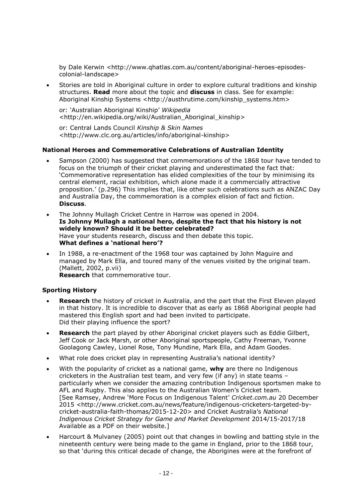by Dale Kerwin [<http://www.qhatlas.com.au/content/aboriginal-heroes-episodes](http://www.qhatlas.com.au/content/aboriginal-heroes-episodes-colonial-landscape)[colonial-landscape>](http://www.qhatlas.com.au/content/aboriginal-heroes-episodes-colonial-landscape)

 Stories are told in Aboriginal culture in order to explore cultural traditions and kinship structures. **Read** more about the topic and **discuss** in class. See for example: Aboriginal Kinship Systems <http://austhrutime.com/kinship\_systems.htm>

or: 'Australian Aboriginal Kinship' *Wikipedia* [<http://en.wikipedia.org/wiki/Australian\\_Aboriginal\\_kinship>](http://en.wikipedia.org/wiki/Australian_Aboriginal_kinship)

or: Central Lands Council *Kinship & Skin Names* [<http://www.clc.org.au/articles/info/aboriginal-kinship>](http://www.clc.org.au/articles/info/aboriginal-kinship)

## **National Heroes and Commemorative Celebrations of Australian Identity**

- Sampson (2000) has suggested that commemorations of the 1868 tour have tended to focus on the triumph of their cricket playing and underestimated the fact that: 'Commemorative representation has elided complexities of the tour by minimising its central element, racial exhibition, which alone made it a commercially attractive proposition.' (p.296) This implies that, like other such celebrations such as ANZAC Day and Australia Day, the commemoration is a complex elision of fact and fiction. **Discuss**.
- The Johnny Mullagh Cricket Centre in Harrow was opened in 2004. **Is Johnny Mullagh a national hero, despite the fact that his history is not widely known? Should it be better celebrated?** Have your students research, discuss and then debate this topic. **What defines a 'national hero'?**
- In 1988, a re-enactment of the 1968 tour was captained by John Maguire and managed by Mark Ella, and toured many of the venues visited by the original team. (Mallett, 2002, p.vii)

**Research** that commemorative tour.

## **Sporting History**

- **Research** the history of cricket in Australia, and the part that the First Eleven played in that history. It is incredible to discover that as early as 1868 Aboriginal people had mastered this English sport and had been invited to participate. Did their playing influence the sport?
- **Research** the part played by other Aboriginal cricket players such as Eddie Gilbert, Jeff Cook or Jack Marsh, or other Aboriginal sportspeople, Cathy Freeman, Yvonne Goolagong Cawley, Lionel Rose, Tony Mundine, Mark Ella, and Adam Goodes.
- What role does cricket play in representing Australia's national identity?
- With the popularity of cricket as a national game, **why** are there no Indigenous cricketers in the Australian test team, and very few (if any) in state teams – particularly when we consider the amazing contribution Indigenous sportsmen make to AFL and Rugby. This also applies to the Australian Women's Cricket team. [See Ramsey, Andrew 'More Focus on Indigenous Talent' *Cricket.com.au* 20 December 2015 [<http://www.cricket.com.au/news/feature/indigenous-cricketers-targeted-by](http://www.cricket.com.au/news/feature/indigenous-cricketers-targeted-by-cricket-australia-faith-thomas/2015-12-20)[cricket-australia-faith-thomas/2015-12-20](http://www.cricket.com.au/news/feature/indigenous-cricketers-targeted-by-cricket-australia-faith-thomas/2015-12-20)> and Cricket Australia's *National Indigenous Cricket Strategy for Game and Market Development* 2014/15-2017/18 Available as a PDF on their website.]
- Harcourt & Mulvaney (2005) point out that changes in bowling and batting style in the nineteenth century were being made to the game in England, prior to the 1868 tour, so that 'during this critical decade of change, the Aborigines were at the forefront of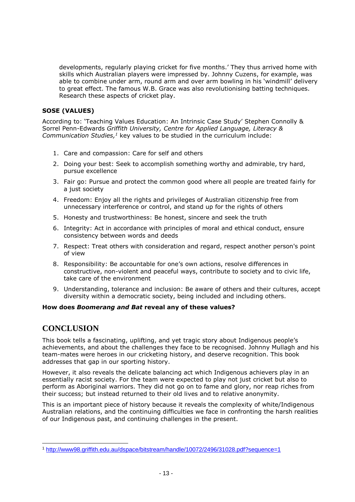developments, regularly playing cricket for five months.' They thus arrived home with skills which Australian players were impressed by. Johnny Cuzens, for example, was able to combine under arm, round arm and over arm bowling in his 'windmill' delivery to great effect. The famous W.B. Grace was also revolutionising batting techniques. Research these aspects of cricket play.

## **SOSE (VALUES)**

According to: 'Teaching Values Education: An Intrinsic Case Study' Stephen Connolly & Sorrel Penn-Edwards *Griffith University, Centre for Applied Language, Literacy & Communication Studies, <sup>1</sup>* key values to be studied in the curriculum include:

- 1. Care and compassion: Care for self and others
- 2. Doing your best: Seek to accomplish something worthy and admirable, try hard, pursue excellence
- 3. Fair go: Pursue and protect the common good where all people are treated fairly for a just society
- 4. Freedom: Enjoy all the rights and privileges of Australian citizenship free from unnecessary interference or control, and stand up for the rights of others
- 5. Honesty and trustworthiness: Be honest, sincere and seek the truth
- 6. Integrity: Act in accordance with principles of moral and ethical conduct, ensure consistency between words and deeds
- 7. Respect: Treat others with consideration and regard, respect another person's point of view
- 8. Responsibility: Be accountable for one's own actions, resolve differences in constructive, non-violent and peaceful ways, contribute to society and to civic life, take care of the environment
- 9. Understanding, tolerance and inclusion: Be aware of others and their cultures, accept diversity within a democratic society, being included and including others.

## **How does** *Boomerang and Bat* **reveal any of these values?**

## **CONCLUSION**

l

This book tells a fascinating, uplifting, and yet tragic story about Indigenous people's achievements, and about the challenges they face to be recognised. Johnny Mullagh and his team-mates were heroes in our cricketing history, and deserve recognition. This book addresses that gap in our sporting history.

However, it also reveals the delicate balancing act which Indigenous achievers play in an essentially racist society. For the team were expected to play not just cricket but also to perform as Aboriginal warriors. They did not go on to fame and glory, nor reap riches from their success; but instead returned to their old lives and to relative anonymity.

This is an important piece of history because it reveals the complexity of white/Indigenous Australian relations, and the continuing difficulties we face in confronting the harsh realities of our Indigenous past, and continuing challenges in the present.

<sup>1</sup> <http://www98.griffith.edu.au/dspace/bitstream/handle/10072/2496/31028.pdf?sequence=1>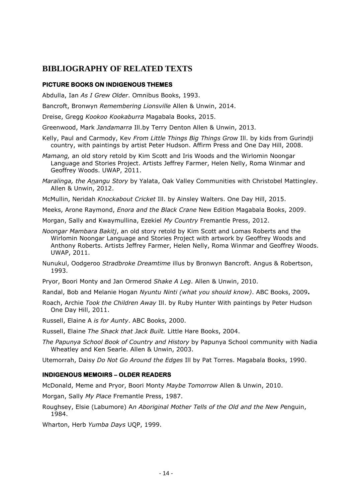## <span id="page-13-0"></span>**BIBLIOGRAPHY OF RELATED TEXTS**

#### **PICTURE BOOKS ON INDIGENOUS THEMES**

Abdulla, Ian *As I Grew Older*. Omnibus Books, 1993.

Bancroft, Bronwyn *Remembering Lionsville* Allen & Unwin, 2014.

Dreise, Gregg *Kookoo Kookaburra* Magabala Books, 2015.

Greenwood, Mark *Jandamarra* Ill.by Terry Denton Allen & Unwin, 2013.

- Kelly, Paul and Carmody, Kev *From Little Things Big Things Grow* Ill. by kids from Gurindji country, with paintings by artist Peter Hudson. Affirm Press and One Day Hill, 2008.
- *Mamang,* an old story retold by Kim Scott and Iris Woods and the Wirlomin Noongar Language and Stories Project. Artists Jeffrey Farmer, Helen Nelly, Roma Winmar and Geoffrey Woods. UWAP, 2011.
- *Maralinga, the Anangu Story* by Yalata, Oak Valley Communities with Christobel Mattingley. Allen & Unwin, 2012.
- McMullin, Neridah *Knockabout Cricket* Ill. by Ainsley Walters. One Day Hill, 2015.
- Meeks, Arone Raymond, *Enora and the Black Crane* New Edition Magabala Books, 2009.
- Morgan, Sally and Kwaymullina, Ezekiel *My Country* Fremantle Press, 2012.
- *Noongar Mambara Bakitj*, an old story retold by Kim Scott and Lomas Roberts and the Wirlomin Noongar Language and Stories Project with artwork by Geoffrey Woods and Anthony Roberts. Artists Jeffrey Farmer, Helen Nelly, Roma Winmar and Geoffrey Woods. UWAP, 2011.
- Nunukul, Oodgeroo *Stradbroke Dreamtime* illus by Bronwyn Bancroft. Angus & Robertson, 1993.
- Pryor, Boori Monty and Jan Ormerod *Shake A Leg*. Allen & Unwin, 2010.
- Randal, Bob and Melanie Hogan *Nyuntu Ninti (what you should know)*. ABC Books, 2009**.**
- Roach, Archie *Took the Children Away* Ill. by Ruby Hunter With paintings by Peter Hudson One Day Hill, 2011.
- Russell, Elaine A *is for Aunty*. ABC Books, 2000.
- Russell, Elaine *The Shack that Jack Built.* Little Hare Books, 2004.
- *The Papunya School Book of Country and History* by Papunya School community with Nadia Wheatley and Ken Searle. Allen & Unwin, 2003.

Utemorrah, Daisy *Do Not Go Around the Edges* Ill by Pat Torres. Magabala Books, 1990.

## **INDIGENOUS MEMOIRS – OLDER READERS**

McDonald, Meme and Pryor, Boori Monty *Maybe Tomorrow* Allen & Unwin, 2010.

- Morgan, Sally *My Place* Fremantle Press, 1987.
- Roughsey, Elsie (Labumore) A*n Aboriginal Mother Tells of the Old and the New P*enguin, 1984.

Wharton, Herb *Yumba Days* UQP, 1999.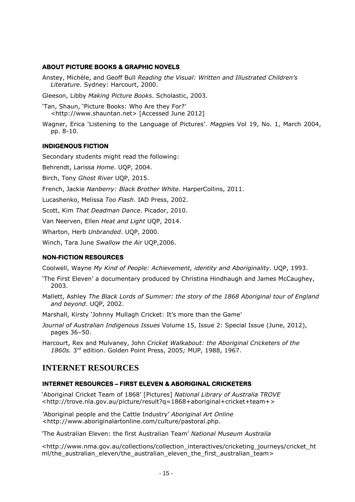## **ABOUT PICTURE BOOKS & GRAPHIC NOVELS**

Anstey, Michèle, and Geoff Bull *Reading the Visual: Written and Illustrated Children's Literature*. Sydney: Harcourt, 2000.

Gleeson, Libby *Making Picture Books*. Scholastic, 2003.

'Tan, Shaun, 'Picture Books: Who Are they For?' <http://www.shauntan.net> [Accessed June 2012]

Wagner, Erica 'Listening to the Language of Pictures'. *Magpie*s Vol 19, No. 1, March 2004, pp. 8-10.

## **INDIGENOUS FICTION**

Secondary students might read the following:

Behrendt, Larissa *Home*. UQP, 2004.

Birch, Tony *Ghost River* UQP, 2015.

French, Jackie *Nanberry: Black Brother White*. HarperCollins, 2011.

Lucashenko, Melissa *Too Flash*. IAD Press, 2002.

Scott, Kim *That Deadman Dance*. Picador, 2010.

Van Neerven, Ellen *Heat and Light* UQP, 2014.

Wharton, Herb *Unbranded*. UQP, 2000.

Winch, Tara June *Swallow the Air* UQP,2006.

## **NON-FICTION RESOURCES**

Coolwell, Wayne *My Kind of People: Achievement, identity and Aboriginality*. UQP, 1993.

- 'The First Eleven' a documentary produced by Christina Hindhaugh and James McCaughey, 2003.
- Mallett, Ashley *The Black Lords of Summer: the story of the 1868 Aboriginal tour of England and beyond*. UQP, 2002.

Marshall, Kirsty 'Johnny Mullagh Cricket: It's more than the Game'

*Journal of Australian Indigenous Issues* Volume 15, Issue 2: Special Issue (June, 2012), pages 36–50.

Harcourt, Rex and Mulvaney, John *Cricket Walkabout: the Aboriginal Cricketers of the 1860s.* 3 rd edition. Golden Point Press, 2005*;* MUP, 1988, 1967.

## **INTERNET RESOURCES**

## **INTERNET RESOURCES – FIRST ELEVEN & ABORIGINAL CRICKETERS**

'Aboriginal Cricket Team of 1868' [Pictures] *National Library of Australia TROVE* [<http://trove.nla.gov.au/picture/result?q=1868+aboriginal+cricket+team+>](http://trove.nla.gov.au/picture/result?q=1868+aboriginal+cricket+team+)

'Aboriginal people and the Cattle Industry' *Aboriginal Art Online* <http://www.aboriginalartonline.com/culture/pastoral.php.

'The Australian Eleven: the first Australian Team' *National Museum Australia*

<http://www.nma.gov.au/collections/collection\_interactives/cricketing\_journeys/cricket\_ht ml/the australian eleven/the australian eleven the first australian team>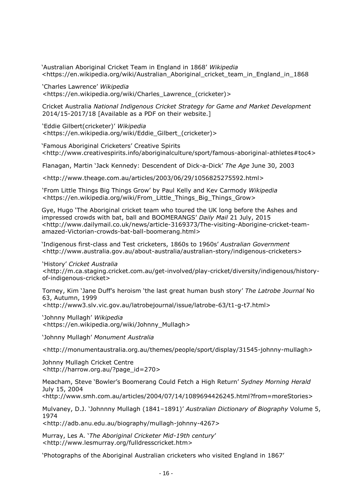'Australian Aboriginal Cricket Team in England in 1868' *Wikipedia* <https://en.wikipedia.org/wiki/Australian\_Aboriginal\_cricket\_team\_in\_England\_in\_1868

'Charles Lawrence' *Wikipedia <*[https://en.wikipedia.org/wiki/Charles\\_Lawrence\\_\(cricketer\)>](https://en.wikipedia.org/wiki/Charles_Lawrence_(cricketer))

Cricket Australia *National Indigenous Cricket Strategy for Game and Market Development*  2014/15-2017/18 [Available as a PDF on their website.]

'Eddie Gilbert(cricketer)' *Wikipedia* <https://en.wikipedia.org/wiki/Eddie\_Gilbert\_(cricketer)>

'Famous Aboriginal Cricketers' Creative Spirits <http://www.creativespirits.info/aboriginalculture/sport/famous-aboriginal-athletes#toc4>

Flanagan, Martin 'Jack Kennedy: Descendent of Dick-a-Dick' *The Age* June 30, 2003

<http://www.theage.com.au/articles/2003/06/29/1056825275592.html>

'From Little Things Big Things Grow' by Paul Kelly and Kev Carmody *Wikipedia* [<https://en.wikipedia.org/wiki/From\\_Little\\_Things\\_Big\\_Things\\_Grow>](https://en.wikipedia.org/wiki/From_Little_Things_Big_Things_Grow)

Gye, Hugo 'The Aboriginal cricket team who toured the UK long before the Ashes and impressed crowds with bat, ball and BOOMERANGS' *Daily Mail* 21 July, 2015 [<http://www.dailymail.co.uk/news/article-3169373/The-visiting-Aborigine-cricket-team](http://www.dailymail.co.uk/news/article-3169373/The-visiting-Aborigine-cricket-team-amazed-Victorian-crowds-bat-ball-boomerang.html)[amazed-Victorian-crowds-bat-ball-boomerang.html>](http://www.dailymail.co.uk/news/article-3169373/The-visiting-Aborigine-cricket-team-amazed-Victorian-crowds-bat-ball-boomerang.html)

'Indigenous first-class and Test cricketers, 1860s to 1960s' *Australian Government* [<http://www.australia.gov.au/about-australia/australian-story/indigenous-cricketers>](http://www.australia.gov.au/about-australia/australian-story/indigenous-cricketers)

'History' *Cricket Australia* <http://m.ca.staging.cricket.com.au/get-involved/play-cricket/diversity/indigenous/historyof-indigenous-cricket>

Torney, Kim 'Jane Duff's heroism 'the last great human bush story' *The Latrobe Journal* No 63, Autumn, 1999 <http://www3.slv.vic.gov.au/latrobejournal/issue/latrobe-63/t1-g-t7.html>

'Johnny Mullagh' *Wikipedia* [<https://en.wikipedia.org/wiki/Johnny\\_Mullagh>](https://en.wikipedia.org/wiki/Johnny_Mullagh)

'Johnny Mullagh' *Monument Australia* 

[<http://monumentaustralia.org.au/themes/people/sport/display/31545-johnny-mullagh>](http://monumentaustralia.org.au/themes/people/sport/display/31545-johnny-mullagh)

Johnny Mullagh Cricket Centre [<http://harrow.org.au/?page\\_id=270>](http://harrow.org.au/?page_id=270)

Meacham, Steve 'Bowler's Boomerang Could Fetch a High Return' *Sydney Morning Herald*  July 15, 2004

<http://www.smh.com.au/articles/2004/07/14/1089694426245.html?from=moreStories>

Mulvaney, D.J. 'Johnnny Mullagh (1841–1891)' *Australian Dictionary of Biography* Volume 5, 1974

[<http://adb.anu.edu.au/biography/mullagh-johnny-4267>](http://adb.anu.edu.au/biography/mullagh-johnny-4267)

Murray, Les A. '*The Aboriginal Cricketer Mid-19th century*' <http://www.lesmurray.org/fulldresscricket.htm>

'Photographs of the Aboriginal Australian cricketers who visited England in 1867'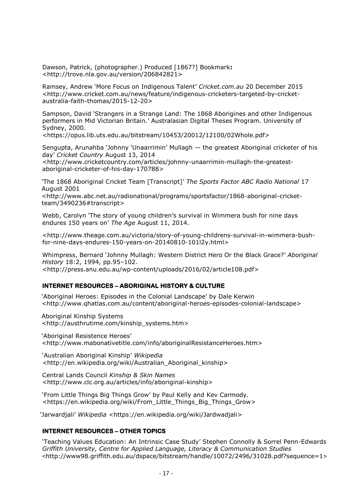Dawson, Patrick, (photographer.) Produced [1867?] Bookmark**:** [<http://trove.nla.gov.au/version/206842821>](http://trove.nla.gov.au/version/206842821)

Ramsey, Andrew 'More Focus on Indigenous Talent' *Cricket.com.au* 20 December 2015 [<http://www.cricket.com.au/news/feature/indigenous-cricketers-targeted-by-cricket](http://www.cricket.com.au/news/feature/indigenous-cricketers-targeted-by-cricket-australia-faith-thomas/2015-12-20)[australia-faith-thomas/2015-12-20>](http://www.cricket.com.au/news/feature/indigenous-cricketers-targeted-by-cricket-australia-faith-thomas/2015-12-20)

Sampson, David 'Strangers in a Strange Land: The 1868 Aborigines and other Indigenous performers in Mid Victorian Britain.' Australasian Digital Theses Program. University of Sydney, 2000.

<https://opus.lib.uts.edu.au/bitstream/10453/20012/12100/02Whole.pdf>

Sengupta, Arunahba 'Johnny 'Unaarrimin' Mullagh — the greatest Aboriginal cricketer of his day' *Cricket Country* August 13, 2014

<http://www.cricketcountry.com/articles/johnny-unaarrimin-mullagh-the-greatestaboriginal-cricketer-of-his-day-170788>

'The 1868 Aboriginal Cricket Team [Transcript]' *The Sports Factor ABC Radio National* 17 August 2001

<http://www.abc.net.au/radionational/programs/sportsfactor/1868-aboriginal-cricketteam/3490236#transcript>

Webb, Carolyn 'The story of young children's survival in Wimmera bush for nine days endures 150 years on' *The Age* August 11, 2014.

<http://www.theage.com.au/victoria/story-of-young-childrens-survival-in-wimmera-bushfor-nine-days-endures-150-years-on-20140810-101l2y.html>

Whimpress, Bernard 'Johnny Mullagh: Western District Hero Or the Black Grace?' *Aboriginal History* 18:2, 1994, pp.95–102. <http://press.anu.edu.au/wp-content/uploads/2016/02/article108.pdf>

## **INTERNET RESOURCES – ABORIGINAL HISTORY & CULTURE**

'Aboriginal Heroes: Episodes in the Colonial Landscape' by Dale Kerwin [<http://www.qhatlas.com.au/content/aboriginal-heroes-episodes-colonial-landscape>](http://www.qhatlas.com.au/content/aboriginal-heroes-episodes-colonial-landscape)

Aboriginal Kinship Systems <http://austhrutime.com/kinship\_systems.htm>

'Aboriginal Resistence Heroes' <http://www.mabonativetitle.com/info/aboriginalResistanceHeroes.htm>

'Australian Aboriginal Kinship' *Wikipedia <*http://en.wikipedia.org/wiki/Australian\_Aboriginal\_kinship>

Central Lands Council *Kinship & Skin Names* <http://www.clc.org.au/articles/info/aboriginal-kinship>

'From Little Things Big Things Grow' by Paul Kelly and Kev Carmody. [<https://en.wikipedia.org/wiki/From\\_Little\\_Things\\_Big\\_Things\\_Grow>](https://en.wikipedia.org/wiki/From_Little_Things_Big_Things_Grow)

'Jarwardjali' *Wikipedia* <https://en.wikipedia.org/wiki/Jardwadjali>

## **INTERNET RESOURCES – OTHER TOPICS**

'Teaching Values Education: An Intrinsic Case Study' Stephen Connolly & Sorrel Penn-Edwards *Griffith University, Centre for Applied Language, Literacy & Communication Studies* <<http://www98.griffith.edu.au/dspace/bitstream/handle/10072/2496/31028.pdf?sequence=1>>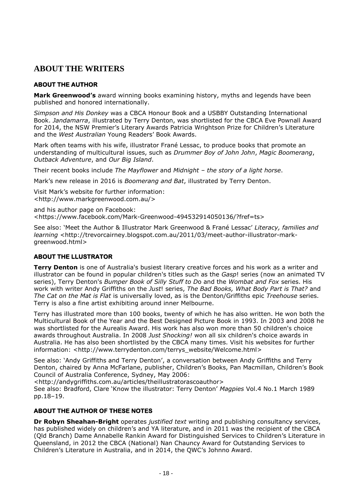## **ABOUT THE WRITERS**

## **ABOUT THE AUTHOR**

**Mark Greenwood's** award winning books examining history, myths and legends have been published and honored internationally.

*Simpson and His Donkey* was a CBCA Honour Book and a USBBY Outstanding International Book. *Jandamarra*, illustrated by Terry Denton, was shortlisted for the CBCA Eve Pownall Award for 2014, the NSW Premier's Literary Awards Patricia Wrightson Prize for Children's Literature and the *West Australian* Young Readers' Book Awards.

Mark often teams with his wife, illustrator Frané Lessac, to produce books that promote an understanding of multicultural issues, such as *Drummer Boy of John John*, *Magic Boomerang*, *Outback Adventure*, and *Our Big Island*.

Their recent books include *The Mayflower* and *Midnight – the story of a light horse*.

Mark's new release in 2016 is *Boomerang and Bat*, illustrated by Terry Denton.

Visit Mark's website for further information: [<http://www.markgreenwood.com.au/>](http://www.markgreenwood.com.au/)

and his author page on Facebook: [<https://www.facebook.com/Mark-Greenwood-494532914050136/?fref=ts>](https://www.facebook.com/Mark-Greenwood-494532914050136/?fref=ts)

See also: 'Meet the Author & Illustrator Mark Greenwood & Frané Lessac' *Literacy, families and learning* <http://trevorcairney.blogspot.com.au/2011/03/meet-author-illustrator-markgreenwood.html>

## **ABOUT THE LLUSTRATOR**

**Terry Denton** is one of Australia's busiest literary creative forces and his work as a writer and illustrator can be found in popular children's titles such as the *Gasp*! series (now an animated TV series), Terry Denton's *Bumper Book of Silly Stuff to D*o and the *Wombat and Fox* series. His work with writer Andy Griffiths on the *Just*! series, *The Bad Books, What Body Part is That?* and *The Cat on the Mat is Flat* is universally loved, as is the Denton/Griffiths epic *Treehouse* series. Terry is also a fine artist exhibiting around inner Melbourne.

Terry has illustrated more than 100 books, twenty of which he has also written. He won both the Multicultural Book of the Year and the Best Designed Picture Book in 1993. In 2003 and 2008 he was shortlisted for the Aurealis Award. His work has also won more than 50 children's choice awards throughout Australia. In 2008 *Just Shocking!* won all six children's choice awards in Australia. He has also been shortlisted by the CBCA many times. Visit his websites for further information: <http://www.terrydenton.com/terrys\_website/Welcome.html>

See also: 'Andy Griffiths and Terry Denton', a conversation between Andy Griffiths and Terry Denton, chaired by Anna McFarlane, publisher, Children's Books, Pan Macmillan, Children's Book Council of Australia Conference, Sydney, May 2006:

<http://andygriffiths.com.au/articles/theillustratorascoauthor>

See also: Bradford, Clare 'Know the illustrator: Terry Denton' *Magpies* Vol.4 No.1 March 1989 pp.18–19.

## **ABOUT THE AUTHOR OF THESE NOTES**

**Dr Robyn Sheahan-Bright** operates *justified text* writing and publishing consultancy services, has published widely on children's and YA literature, and in 2011 was the recipient of the CBCA (Qld Branch) Dame Annabelle Rankin Award for Distinguished Services to Children's Literature in Queensland, in 2012 the CBCA (National) Nan Chauncy Award for Outstanding Services to Children's Literature in Australia, and in 2014, the QWC's Johnno Award.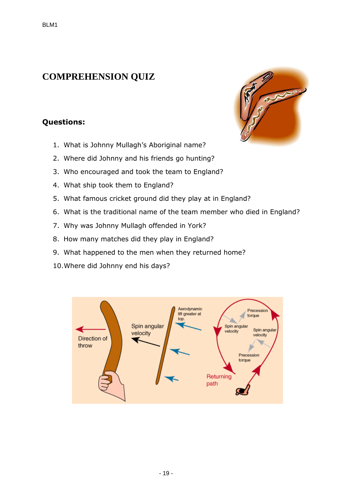## <span id="page-18-0"></span>**COMPREHENSION QUIZ**

## **Questions:**

- 1. What is Johnny Mullagh's Aboriginal name?
- 2. Where did Johnny and his friends go hunting?
- 3. Who encouraged and took the team to England?
- 4. What ship took them to England?
- 5. What famous cricket ground did they play at in England?
- 6. What is the traditional name of the team member who died in England?
- 7. Why was Johnny Mullagh offended in York?
- 8. How many matches did they play in England?
- 9. What happened to the men when they returned home?
- 10.Where did Johnny end his days?



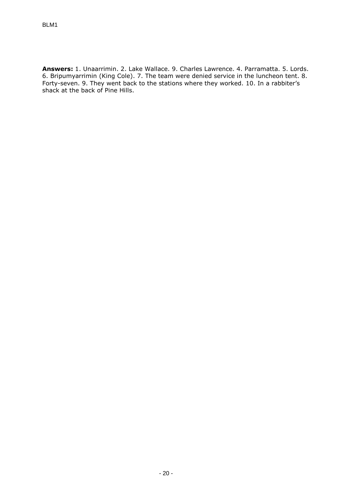**Answers:** 1. Unaarrimin. 2. Lake Wallace. 9. Charles Lawrence. 4. Parramatta. 5. Lords. 6. Bripumyarrimin (King Cole). 7. The team were denied service in the luncheon tent. 8. Forty-seven. 9. They went back to the stations where they worked. 10. In a rabbiter's shack at the back of Pine Hills.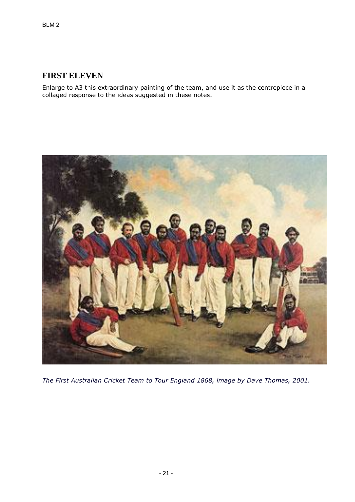## <span id="page-20-0"></span>**FIRST ELEVEN**

Enlarge to A3 this extraordinary painting of the team, and use it as the centrepiece in a collaged response to the ideas suggested in these notes.



*The First Australian Cricket Team to Tour England 1868, image by Dave Thomas, 2001.*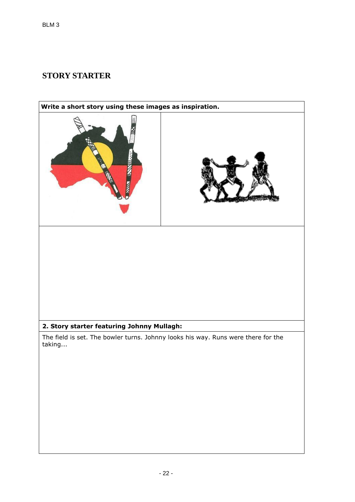## **STORY STARTER**